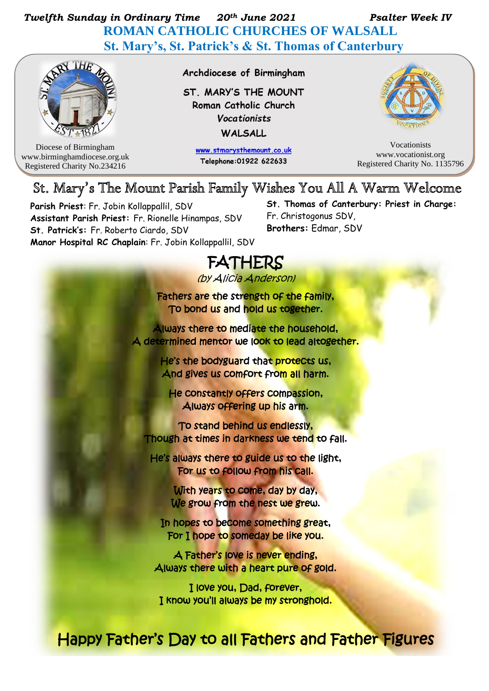## *Twelfth Sunday in Ordinary Time 20th June 2021 Psalter Week IV*   **ROMAN CATHOLIC CHURCHES OF WALSALL St. Mary's, St. Patrick's & St. Thomas of Canterbury**



Diocese of Birmingham www.birminghamdiocese.org.uk Registered Charity No.234216

Archdiocese of Birmingham

ST. MARY'S THE MOUNT Roman Catholic Church **Vocationists** WALSALL

> www.stmarysthemount.co.uk Telephone: 01922 622633



Vocationists www.vocationist.org Registered Charity No. 1135796

## St. Mary's The Mount Parish Family Wishes You All A Warm Welcome

**Parish Priest**: Fr. Jobin Kollappallil, SDV **Assistant Parish Priest:** Fr. Rionelle Hinampas, SDV **St. Patrick's:** Fr. Roberto Ciardo, SDV **Manor Hospital RC Chaplain**: Fr. Jobin Kollappallil, SDV **St. Thomas of Canterbury: Priest in Charge:**  Fr. Christogonus SDV, **Brothers:** Edmar, SDV

# FATHERS

(by Alicia Anderson)

Fathers are the strength of the family, To bond us and hold us together.

Always there to mediate the household, A determined mentor we look to lead altogether.

> He's the bodyguard that protects us, And gives us comfort from all harm.

He constantly offers compassion, Always offering up his arm.

To stand behind us endlessly, Though at times in darkness we tend to fall.

He's always there to guide us to the light, For us to follow from his call.

> With years to come, day by day, We grow from the nest we grew.

In hopes to become something great, For I hope to someday be like you.

A Father's love is never ending, Always there with a heart pure of gold.

I love you, Dad, forever, I know you'll always be my stronghold.

Happy Father's Day to all Fathers and Father Figures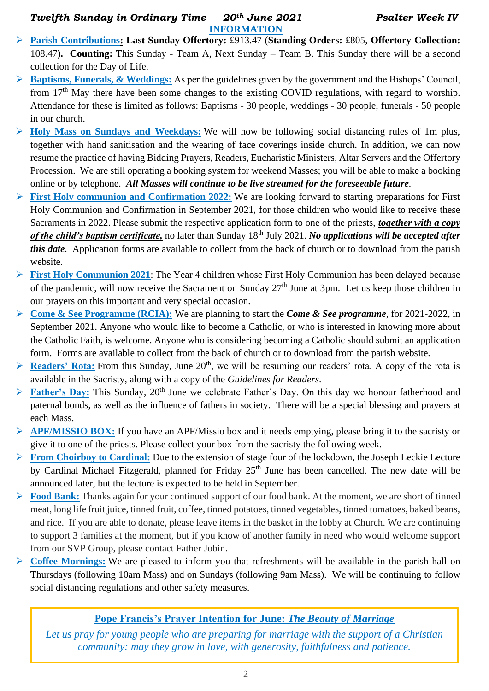#### *Twelfth Sunday in Ordinary Time 20th June 2021 Psalter Week IV*  **INFORMATION**

- ➢ **Parish Contributions: Last Sunday Offertory:** £913.47 (**Standing Orders:** £805, **Offertory Collection:** 108.47**). Counting:** This Sunday - Team A, Next Sunday – Team B. This Sunday there will be a second collection for the Day of Life.
- ➢ **Baptisms, Funerals, & Weddings:** As per the guidelines given by the government and the Bishops' Council, from 17<sup>th</sup> May there have been some changes to the existing COVID regulations, with regard to worship. Attendance for these is limited as follows: Baptisms - 30 people, weddings - 30 people, funerals - 50 people in our church.
- ➢ **Holy Mass on Sundays and Weekdays:** We will now be following social distancing rules of 1m plus, together with hand sanitisation and the wearing of face coverings inside church. In addition, we can now resume the practice of having Bidding Prayers, Readers, Eucharistic Ministers, Altar Servers and the Offertory Procession. We are still operating a booking system for weekend Masses; you will be able to make a booking online or by telephone. *All Masses will continue to be live streamed for the foreseeable future.*
- ➢ **First Holy communion and Confirmation 2022:** We are looking forward to starting preparations for First Holy Communion and Confirmation in September 2021, for those children who would like to receive these Sacraments in 2022. Please submit the respective application form to one of the priests, *together with a copy of the child's baptism certificate,* no later than Sunday 18th July 2021. *No applications will be accepted after this date.* Application forms are available to collect from the back of church or to download from the parish website.
- ➢ **First Holy Communion 2021**: The Year 4 children whose First Holy Communion has been delayed because of the pandemic, will now receive the Sacrament on Sunday 27<sup>th</sup> June at 3pm. Let us keep those children in our prayers on this important and very special occasion.
- ➢ **Come & See Programme (RCIA):** We are planning to start the *Come & See programme*, for 2021-2022, in September 2021. Anyone who would like to become a Catholic, or who is interested in knowing more about the Catholic Faith, is welcome. Anyone who is considering becoming a Catholic should submit an application form. Forms are available to collect from the back of church or to download from the parish website.
- $\triangleright$  **Readers' Rota:** From this Sunday, June 20<sup>th</sup>, we will be resuming our readers' rota. A copy of the rota is available in the Sacristy, along with a copy of the *Guidelines for Readers*.
- ▶ **Father's Day:** This Sunday, 20<sup>th</sup> June we celebrate Father's Day. On this day we honour fatherhood and paternal bonds, as well as the influence of fathers in society. There will be a special blessing and prayers at each Mass.
- ➢ **APF/MISSIO BOX:** If you have an APF/Missio box and it needs emptying, please bring it to the sacristy or give it to one of the priests. Please collect your box from the sacristy the following week.
- ➢ **From Choirboy to Cardinal:** Due to the extension of stage four of the lockdown, the Joseph Leckie Lecture by Cardinal Michael Fitzgerald, planned for Friday 25<sup>th</sup> June has been cancelled. The new date will be announced later, but the lecture is expected to be held in September.
- ➢ **Food Bank:** Thanks again for your continued support of our food bank. At the moment, we are short of tinned meat, long life fruit juice, tinned fruit, coffee, tinned potatoes, tinned vegetables, tinned tomatoes, baked beans, and rice. If you are able to donate, please leave items in the basket in the lobby at Church. We are continuing to support 3 families at the moment, but if you know of another family in need who would welcome support from our SVP Group, please contact Father Jobin.
- ➢ **Coffee Mornings:** We are pleased to inform you that refreshments will be available in the parish hall on Thursdays (following 10am Mass) and on Sundays (following 9am Mass). We will be continuing to follow social distancing regulations and other safety measures.

### **Pope Francis's Prayer Intention for June:** *The Beauty of Marriage*

*Let us pray for young people who are preparing for marriage with the support of a Christian community: may they grow in love, with generosity, faithfulness and patience.*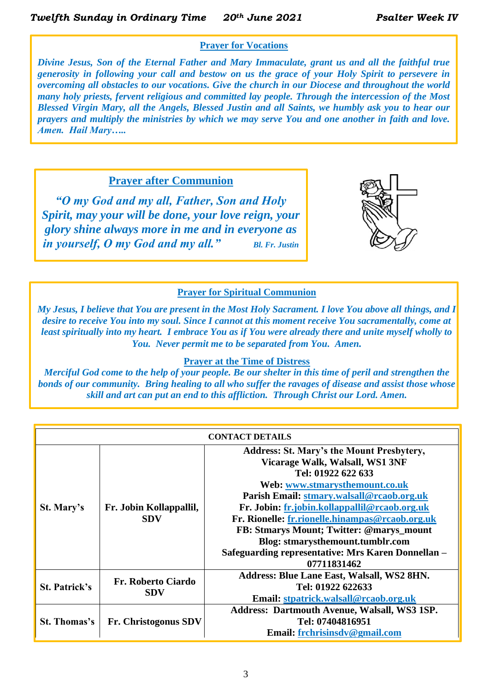#### **Prayer for Vocations**

*Divine Jesus, Son of the Eternal Father and Mary Immaculate, grant us and all the faithful true generosity in following your call and bestow on us the grace of your Holy Spirit to persevere in overcoming all obstacles to our vocations. Give the church in our Diocese and throughout the world many holy priests, fervent religious and committed lay people. Through the intercession of the Most Blessed Virgin Mary, all the Angels, Blessed Justin and all Saints, we humbly ask you to hear our prayers and multiply the ministries by which we may serve You and one another in faith and love. Amen. Hail Mary…..*

**Prayer after Communion**

*"O my God and my all, Father, Son and Holy Spirit, may your will be done, your love reign, your glory shine always more in me and in everyone as in yourself, O my God and my all." Bl. Fr. Justin*



#### **Prayer for Spiritual Communion**

*My Jesus, I believe that You are present in the Most Holy Sacrament. I love You above all things, and I desire to receive You into my soul. Since I cannot at this moment receive You sacramentally, come at least spiritually into my heart. I embrace You as if You were already there and unite myself wholly to You. Never permit me to be separated from You. Amen.*

#### **Prayer at the Time of Distress**

*Merciful God come to the help of your people. Be our shelter in this time of peril and strengthen the bonds of our community.**Bring healing to all who suffer the ravages of disease and assist those whose skill and art can put an end to this affliction.**Through Christ our Lord. Amen.*

| <b>CONTACT DETAILS</b> |                                       |                                                                                                                                                                                                                                                                                              |  |  |  |
|------------------------|---------------------------------------|----------------------------------------------------------------------------------------------------------------------------------------------------------------------------------------------------------------------------------------------------------------------------------------------|--|--|--|
| St. Mary's             | Fr. Jobin Kollappallil,<br><b>SDV</b> | <b>Address: St. Mary's the Mount Presbytery,</b><br>Vicarage Walk, Walsall, WS1 3NF<br>Tel: 01922 622 633<br>Web: www.stmarysthemount.co.uk<br>Parish Email: stmary.walsall@rcaob.org.uk<br>Fr. Jobin: fr.jobin.kollappallil@rcaob.org.uk<br>Fr. Rionelle: fr.rionelle.hinampas@rcaob.org.uk |  |  |  |
|                        |                                       | FB: Stmarys Mount; Twitter: @marys_mount<br>Blog: stmarysthemount.tumblr.com<br>Safeguarding representative: Mrs Karen Donnellan -<br>07711831462                                                                                                                                            |  |  |  |
| <b>St. Patrick's</b>   | Fr. Roberto Ciardo<br><b>SDV</b>      | Address: Blue Lane East, Walsall, WS2 8HN.<br>Tel: 01922 622633<br>Email: stpatrick.walsall@rcaob.org.uk                                                                                                                                                                                     |  |  |  |
| <b>St. Thomas's</b>    | <b>Fr.</b> Christogonus SDV           | Address: Dartmouth Avenue, Walsall, WS3 1SP.<br>Tel: 07404816951<br>Email: frchrisinsdv@gmail.com                                                                                                                                                                                            |  |  |  |